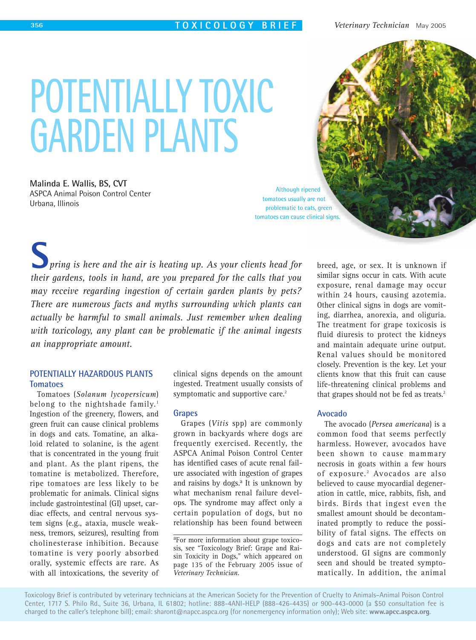# **POTENTIALLY TOXIC GARDEN PLANTS**

**Malinda E. Wallis, BS, CVT** ASPCA Animal Poison Control Center Urbana, Illinois

Although ripened tomatoes usually are not problematic to cats, green tomatoes can cause clinical signs.

*pring is here and the air is heating up. As your clients head for their gardens, tools in hand, are you prepared for the calls that you may receive regarding ingestion of certain garden plants by pets? There are numerous facts and myths surrounding which plants can actually be harmful to small animals. Just remember when dealing with toxicology, any plant can be problematic if the animal ingests an inappropriate amount.* **S**

# **POTENTIALLY HAZARDOUS PLANTS Tomatoes**

Tomatoes (*Solanum lycopersicum*) belong to the nightshade family.<sup>1</sup> Ingestion of the greenery, flowers, and green fruit can cause clinical problems in dogs and cats. Tomatine, an alkaloid related to solanine, is the agent that is concentrated in the young fruit and plant. As the plant ripens, the tomatine is metabolized. Therefore, ripe tomatoes are less likely to be problematic for animals. Clinical signs include gastrointestinal (GI) upset, cardiac effects, and central nervous system signs (e.g., ataxia, muscle weakness, tremors, seizures), resulting from cholinesterase inhibition. Because tomatine is very poorly absorbed orally, systemic effects are rare. As with all intoxications, the severity of clinical signs depends on the amount ingested. Treatment usually consists of symptomatic and supportive care.<sup>2</sup>

## **Grapes**

Grapes (*Vitis* spp) are commonly grown in backyards where dogs are frequently exercised. Recently, the ASPCA Animal Poison Control Center has identified cases of acute renal failure associated with ingestion of grapes and raisins by dogs.<sup>a</sup> It is unknown by what mechanism renal failure develops. The syndrome may affect only a certain population of dogs, but no relationship has been found between

aFor more information about grape toxicosis, see "Toxicology Brief: Grape and Raisin Toxicity in Dogs," which appeared on page 135 of the February 2005 issue of *Veterinary Technician*.

breed, age, or sex. It is unknown if similar signs occur in cats. With acute exposure, renal damage may occur within 24 hours, causing azotemia. Other clinical signs in dogs are vomiting, diarrhea, anorexia, and oliguria. The treatment for grape toxicosis is fluid diuresis to protect the kidneys and maintain adequate urine output. Renal values should be monitored closely. Prevention is the key. Let your clients know that this fruit can cause life-threatening clinical problems and that grapes should not be fed as treats.<sup>2</sup>

## **Avocado**

The avocado (*Persea americana*) is a common food that seems perfectly harmless. However, avocados have been shown to cause mammary necrosis in goats within a few hours of exposure.<sup>2</sup> Avocados are also believed to cause myocardial degeneration in cattle, mice, rabbits, fish, and birds. Birds that ingest even the smallest amount should be decontaminated promptly to reduce the possibility of fatal signs. The effects on dogs and cats are not completely understood. GI signs are commonly seen and should be treated symptomatically. In addition, the animal

Toxicology Brief is contributed by veterinary technicians at the American Society for the Prevention of Cruelty to Animals–Animal Poison Control Center, 1717 S. Philo Rd., Suite 36, Urbana, IL 61802; hotline: 888-4ANI-HELP (888-426-4435) or 900-443-0000 (a \$50 consultation fee is charged to the caller's telephone bill); email: sharont@napcc.aspca.org (for nonemergency information only); Web site: **www.apcc.aspca.org**.